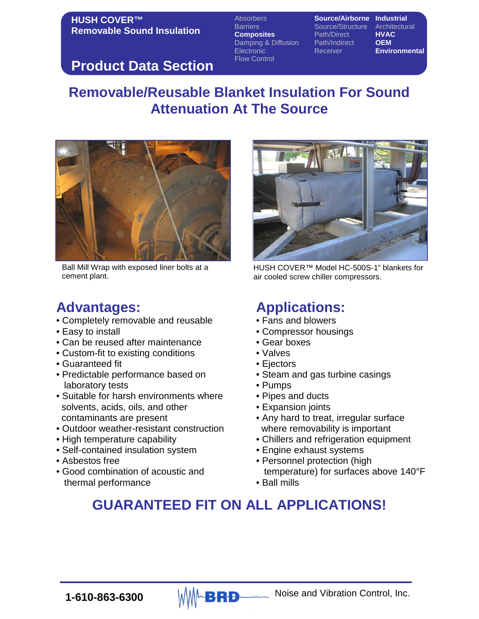Absorbers **Source/Airborne Industrial** Barriers **Source/Structure Architectural**<br> **Composites** Path/Direct **HVAC Composites** Path/Direct **HVAC**<br>Damping & Diffusion Path/Indirect **OEM Damping & Diffusion** Path/Indir<br>Electronic Receiver Flow Control

**Environmental** 

### **Product Data Section**

# **Removable/Reusable Blanket Insulation For Sound Attenuation At The Source**



Ball Mill Wrap with exposed liner bolts at a cement plant.

## **Advantages:**

- Completely removable and reusable
- Easy to install
- Can be reused after maintenance
- Custom-fit to existing conditions
- Guaranteed fit
- Predictable performance based on laboratory tests
- Suitable for harsh environments where solvents, acids, oils, and other contaminants are present
- Outdoor weather-resistant construction
- High temperature capability
- Self-contained insulation system
- Asbestos free
- Good combination of acoustic and thermal performance



HUSH COVER™ Model HC-500S-1" blankets for air cooled screw chiller compressors.

# **Applications:**

- Fans and blowers
- Compressor housings
- Gear boxes
- Valves
- Ejectors
- Steam and gas turbine casings
- Pumps
- Pipes and ducts
- Expansion joints
- Any hard to treat, irregular surface where removability is important
- Chillers and refrigeration equipment
- Engine exhaust systems
- Personnel protection (high temperature) for surfaces above 140°F
- Ball mills

# **GUARANTEED FIT ON ALL APPLICATIONS!**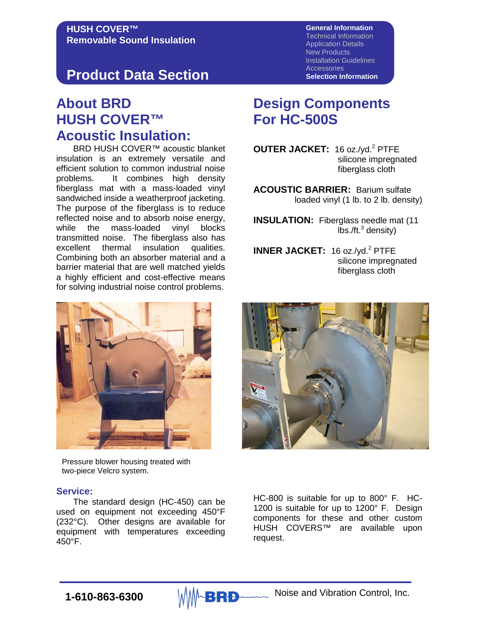## **Product Data Section**

### **About BRD HUSH COVER™ Acoustic Insulation:**

BRD HUSH COVER™ acoustic blanket insulation is an extremely versatile and efficient solution to common industrial noise problems. It combines high density fiberglass mat with a mass-loaded vinyl sandwiched inside a weatherproof jacketing. The purpose of the fiberglass is to reduce reflected noise and to absorb noise energy, while the mass-loaded vinyl blocks transmitted noise. The fiberglass also has excellent thermal insulation qualities. Combining both an absorber material and a barrier material that are well matched yields a highly efficient and cost-effective means for solving industrial noise control problems.



Pressure blower housing treated with two-piece Velcro system.

#### **Service:**

The standard design (HC-450) can be used on equipment not exceeding 450°F (232°C). Other designs are available for equipment with temperatures exceeding 450°F.

**General Information** Technical Information Application Details New Products Installation Guidelines **Accessories Selection Information**

### **Design Components For HC-500S**

**OUTER JACKET:** 16 oz./yd.<sup>2</sup> PTFE silicone impregnated fiberglass cloth

**ACOUSTIC BARRIER:** Barium sulfate loaded vinyl (1 lb. to 2 lb. density)

**INSULATION:** Fiberglass needle mat (11  $\text{lbs.}/\text{ft.}^3$  density)

**INNER JACKET:** 16 oz./yd.<sup>2</sup> PTFE silicone impregnated fiberglass cloth



HC-800 is suitable for up to 800° F. HC-1200 is suitable for up to 1200° F. Design components for these and other custom HUSH COVERS™ are available upon request.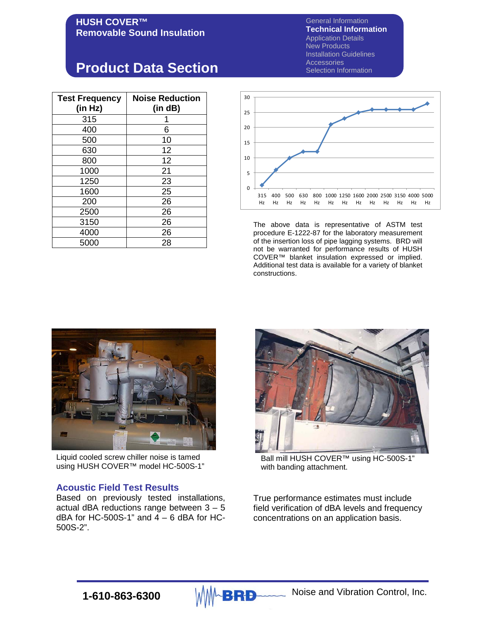General Information **Technical Information** Application Details New Products Installation Guidelines **Accessories** Selection Information

## **Product Data Section**

| <b>Test Frequency</b><br>(in Hz) | <b>Noise Reduction</b><br>(in dB) |  |
|----------------------------------|-----------------------------------|--|
| 315                              |                                   |  |
| 400                              | 6                                 |  |
| 500                              | 10                                |  |
| 630                              | 12                                |  |
| 800                              | 12                                |  |
| 1000                             | 21                                |  |
| 1250                             | 23                                |  |
| 1600                             | 25                                |  |
| 200                              | 26                                |  |
| 2500                             | 26                                |  |
| 3150                             | 26                                |  |
| 4000                             | 26                                |  |
| 5000                             | 28                                |  |



The above data is representative of ASTM test procedure E-1222-87 for the laboratory measurement of the insertion loss of pipe lagging systems. BRD will not be warranted for performance results of HUSH COVER™ blanket insulation expressed or implied. Additional test data is available for a variety of blanket constructions.



Liquid cooled screw chiller noise is tamed using HUSH COVER™ model HC-500S-1"

#### **Acoustic Field Test Results**

Based on previously tested installations, actual dBA reductions range between 3 – 5 dBA for HC-500S-1" and  $\overline{4}$  – 6 dBA for HC-500S-2".



Ball mill HUSH COVER™ using HC-500S-1" with banding attachment.

True performance estimates must include field verification of dBA levels and frequency concentrations on an application basis.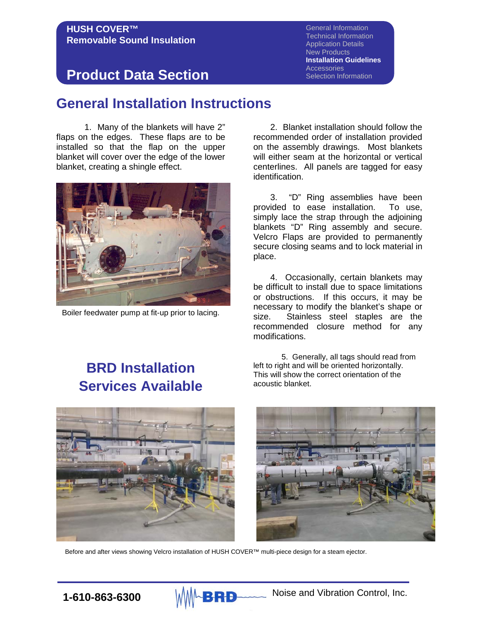General Information Technical Information Application Details New Products **Installation Guidelines Accessories** Selection Information

## **Product Data Section**

### **General Installation Instructions**

1. Many of the blankets will have 2" flaps on the edges. These flaps are to be installed so that the flap on the upper blanket will cover over the edge of the lower blanket, creating a shingle effect.



Boiler feedwater pump at fit-up prior to lacing.

2. Blanket installation should follow the recommended order of installation provided on the assembly drawings. Most blankets will either seam at the horizontal or vertical centerlines. All panels are tagged for easy identification.

3. "D" Ring assemblies have been<br>ided to ease installation. To use, provided to ease installation. simply lace the strap through the adjoining blankets "D" Ring assembly and secure. Velcro Flaps are provided to permanently secure closing seams and to lock material in place.

4. Occasionally, certain blankets may be difficult to install due to space limitations or obstructions. If this occurs, it may be necessary to modify the blanket's shape or size. Stainless steel staples are the recommended closure method for any modifications.

# **BRD Installation Services Available**

5. Generally, all tags should read from left to right and will be oriented horizontally. This will show the correct orientation of the acoustic blanket.



Before and after views showing Velcro installation of HUSH COVER™ multi-piece design for a steam ejector.